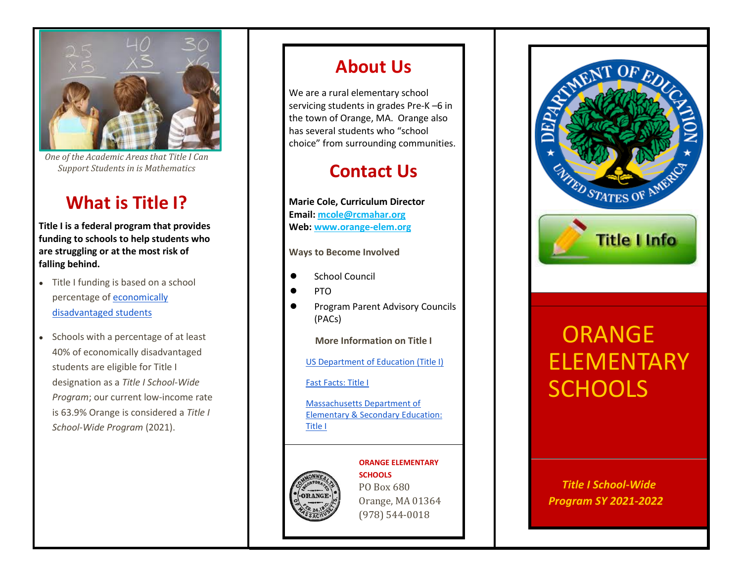

*One of the Academic Areas that Title I Can Support Students in is Mathematics*

### **What is Title I?**

**Title I is a federal program that provides funding to schools to help students who are struggling or at the most risk of falling behind.**

- Title I funding is based on a school percentage o[f economically](https://profiles.doe.mass.edu/profiles/student.aspx?orgcode=02230000&orgtypecode=5&leftNavId=305&)  [disadvantaged](https://profiles.doe.mass.edu/profiles/student.aspx?orgcode=02230000&orgtypecode=5&leftNavId=305&) [students](https://profiles.doe.mass.edu/profiles/student.aspx?orgcode=02230000&orgtypecode=5&leftNavId=305&)
- Schools with a percentage of at least 40% of economically disadvantaged students are eligible for Title I designation as a *Title I School-Wide Program*; our current low-income rate is 63.9% Orange is considered a *Title I School-Wide Program* (2021).

### **About Us**

We are a rural elementary school servicing students in grades Pre-K –6 in the town of Orange, MA. Orange also has several students who "school choice" from surrounding communities.

### **Contact Us**

**Marie Cole, Curriculum Director Email: [mcole@rcmahar.org](mailto:mcole@rcmahar.org) Web: www.orange-elem.org**

**Ways to Become Involved**

- School Council
- PTO
- Program Parent Advisory Councils (PACs)

**More Information on Title I**

[US Department of Education \(Title I\)](https://www2.ed.gov/programs/titleiparta/index.html)

#### [Fast Facts: Title I](https://nces.ed.gov/fastfacts/display.asp?id=158)

[Massachusetts Department of](https://www.doe.mass.edu/federalgrants/titlei-a/default.html)  [Elementary & Secondary Education:](https://www.doe.mass.edu/federalgrants/titlei-a/default.html)  [Title I](https://www.doe.mass.edu/federalgrants/titlei-a/default.html)



#### **ORANGE ELEMENTARY**

**SCHOOLS** PO Box 680 Orange, MA 01364 (978) 544-0018



# **ORANGE** ELEMENTARY **SCHOOLS**

### *Title I School-Wide Program SY 2021-2022*